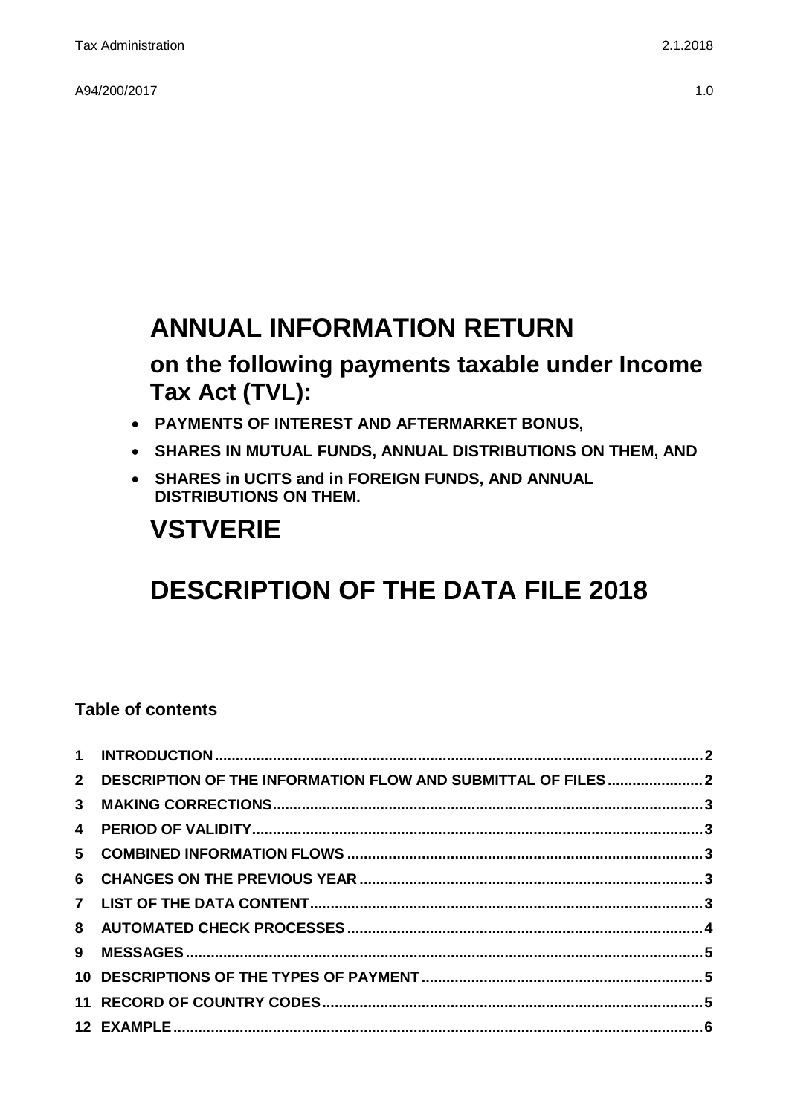A94/200/2017 1.0

## **ANNUAL INFORMATION RETURN**

## **on the following payments taxable under Income Tax Act (TVL):**

- **PAYMENTS OF INTEREST AND AFTERMARKET BONUS,**
- **SHARES IN MUTUAL FUNDS, ANNUAL DISTRIBUTIONS ON THEM, AND**
- **SHARES in UCITS and in FOREIGN FUNDS, AND ANNUAL DISTRIBUTIONS ON THEM.**

# **VSTVERIE**

# **DESCRIPTION OF THE DATA FILE 2018**

### **Table of contents**

| 2 DESCRIPTION OF THE INFORMATION FLOW AND SUBMITTAL OF FILES2 |  |
|---------------------------------------------------------------|--|
|                                                               |  |
|                                                               |  |
|                                                               |  |
|                                                               |  |
|                                                               |  |
|                                                               |  |
|                                                               |  |
|                                                               |  |
|                                                               |  |
|                                                               |  |
|                                                               |  |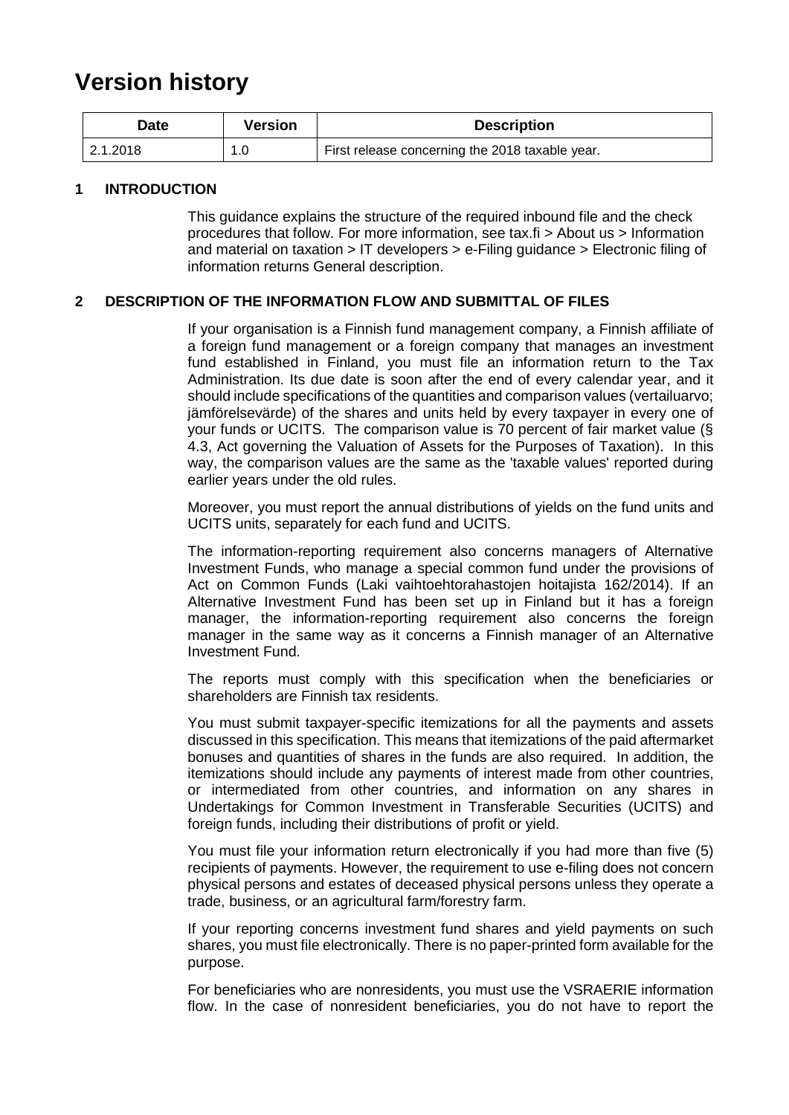## **Version history**

| Version<br>Date |     | <b>Description</b>                              |
|-----------------|-----|-------------------------------------------------|
| 2.1.2018        | 1.0 | First release concerning the 2018 taxable year. |

#### <span id="page-1-0"></span>**1 INTRODUCTION**

This guidance explains the structure of the required inbound file and the check procedures that follow. For more information, see tax.fi > About us > Information and material on taxation > IT developers > e-Filing guidance > Electronic filing of information returns General description.

#### <span id="page-1-1"></span>**2 DESCRIPTION OF THE INFORMATION FLOW AND SUBMITTAL OF FILES**

If your organisation is a Finnish fund management company, a Finnish affiliate of a foreign fund management or a foreign company that manages an investment fund established in Finland, you must file an information return to the Tax Administration. Its due date is soon after the end of every calendar year, and it should include specifications of the quantities and comparison values (vertailuarvo; jämförelsevärde) of the shares and units held by every taxpayer in every one of your funds or UCITS. The comparison value is 70 percent of fair market value (§ 4.3, Act governing the Valuation of Assets for the Purposes of Taxation). In this way, the comparison values are the same as the 'taxable values' reported during earlier years under the old rules.

Moreover, you must report the annual distributions of yields on the fund units and UCITS units, separately for each fund and UCITS.

The information-reporting requirement also concerns managers of Alternative Investment Funds, who manage a special common fund under the provisions of Act on Common Funds (Laki vaihtoehtorahastojen hoitajista 162/2014). If an Alternative Investment Fund has been set up in Finland but it has a foreign manager, the information-reporting requirement also concerns the foreign manager in the same way as it concerns a Finnish manager of an Alternative Investment Fund.

The reports must comply with this specification when the beneficiaries or shareholders are Finnish tax residents.

You must submit taxpayer-specific itemizations for all the payments and assets discussed in this specification. This means that itemizations of the paid aftermarket bonuses and quantities of shares in the funds are also required. In addition, the itemizations should include any payments of interest made from other countries, or intermediated from other countries, and information on any shares in Undertakings for Common Investment in Transferable Securities (UCITS) and foreign funds, including their distributions of profit or yield.

You must file your information return electronically if you had more than five (5) recipients of payments. However, the requirement to use e-filing does not concern physical persons and estates of deceased physical persons unless they operate a trade, business, or an agricultural farm/forestry farm.

If your reporting concerns investment fund shares and yield payments on such shares, you must file electronically. There is no paper-printed form available for the purpose.

For beneficiaries who are nonresidents, you must use the VSRAERIE information flow. In the case of nonresident beneficiaries, you do not have to report the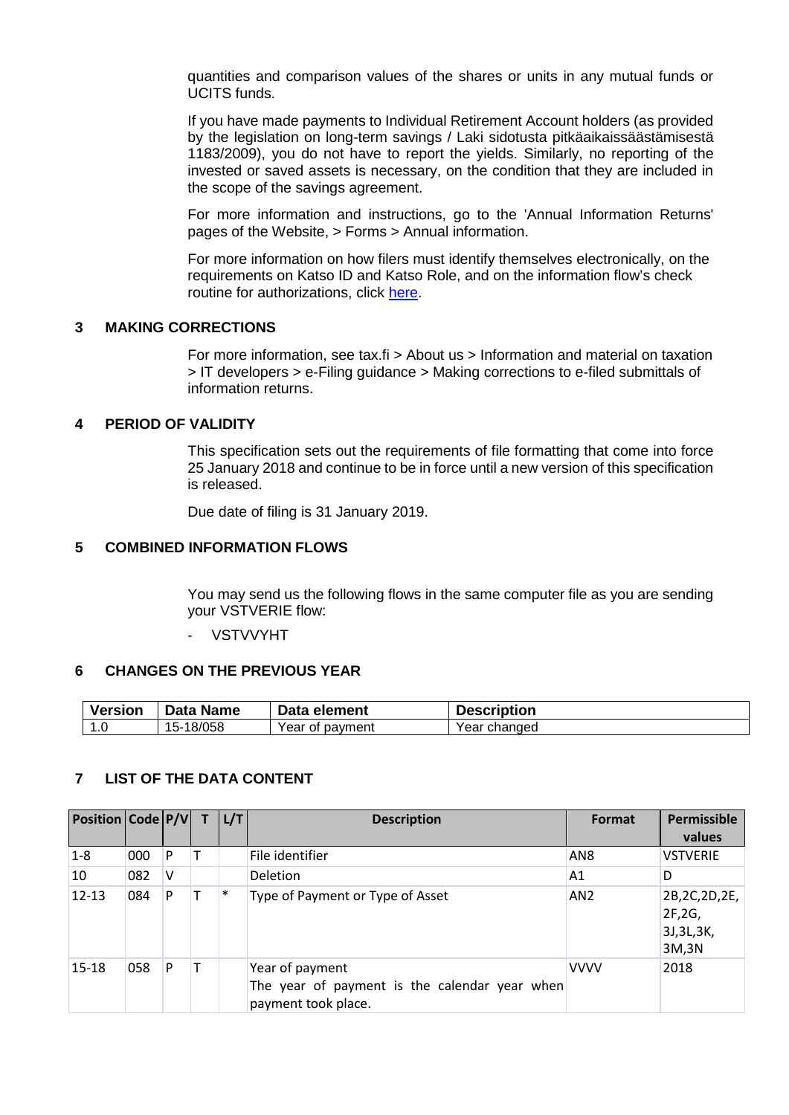quantities and comparison values of the shares or units in any mutual funds or UCITS funds.

If you have made payments to Individual Retirement Account holders (as provided by the legislation on long-term savings / Laki sidotusta pitkäaikaissäästämisestä 1183/2009), you do not have to report the yields. Similarly, no reporting of the invested or saved assets is necessary, on the condition that they are included in the scope of the savings agreement.

For more information and instructions, go to the 'Annual Information Returns' pages of the Website, > Forms > Annual information.

For more information on how filers must identify themselves electronically, on the requirements on Katso ID and Katso Role, and on the information flow's check routine for authorizations, click [here.](https://www.ilmoitin.fi/webtamo/sivut/IlmoituslajiRoolit?kieli=en&tv=VSTVERIE)

#### <span id="page-2-0"></span>**3 MAKING CORRECTIONS**

For more information, see tax.fi > About us > Information and material on taxation > IT developers > e-Filing guidance > Making corrections to e-filed submittals of information returns.

#### <span id="page-2-1"></span>**4 PERIOD OF VALIDITY**

This specification sets out the requirements of file formatting that come into force 25 January 2018 and continue to be in force until a new version of this specification is released.

Due date of filing is 31 January 2019.

#### <span id="page-2-2"></span>**5 COMBINED INFORMATION FLOWS**

You may send us the following flows in the same computer file as you are sending your VSTVERIE flow:

- VSTVVYHT

#### <span id="page-2-3"></span>**6 CHANGES ON THE PREVIOUS YEAR**

| <b>Version</b> | Data Name      | Data element    | <b>Description</b> |
|----------------|----------------|-----------------|--------------------|
| ، ۱            | -18/058<br>15- | Year of payment | Year changed       |

#### <span id="page-2-4"></span>**7 LIST OF THE DATA CONTENT**

| Position   Code   P/V |     |   | L/T | <b>Description</b>                                                                      | Format          | Permissible<br>values                               |
|-----------------------|-----|---|-----|-----------------------------------------------------------------------------------------|-----------------|-----------------------------------------------------|
| $1-8$                 | 000 | P |     | File identifier                                                                         | AN <sub>8</sub> | <b>VSTVERIE</b>                                     |
| 10                    | 082 | v |     | Deletion                                                                                | A1              | D                                                   |
| $12 - 13$             | 084 | P | ∗   | Type of Payment or Type of Asset                                                        | AN <sub>2</sub> | 2B, 2C, 2D, 2E,<br>2F, 2G,<br>3J, 3L, 3K,<br>3M, 3N |
| $15 - 18$             | 058 | P |     | Year of payment<br>The year of payment is the calendar year when<br>payment took place. | <b>VVVV</b>     | 2018                                                |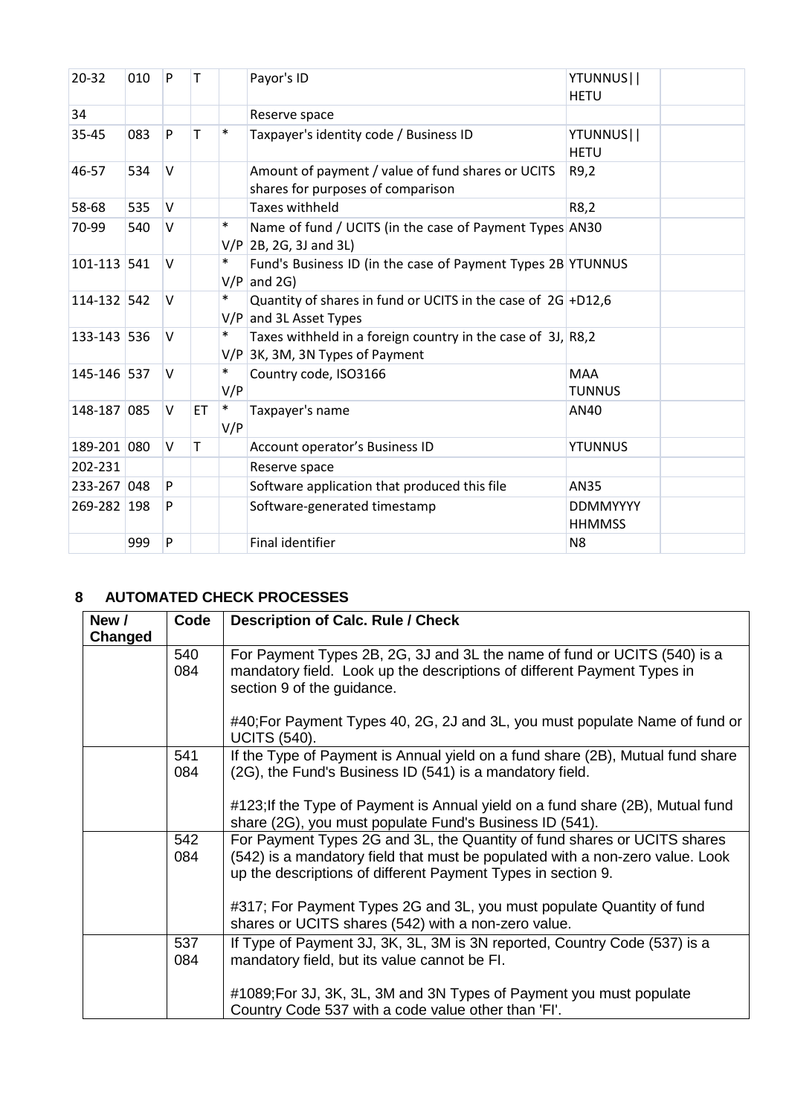| 20-32       | 010 | P      | т           |               | Payor's ID                                                                                       | YTUNNUS  <br><b>HETU</b>         |
|-------------|-----|--------|-------------|---------------|--------------------------------------------------------------------------------------------------|----------------------------------|
| 34          |     |        |             |               | Reserve space                                                                                    |                                  |
| 35-45       | 083 | P      | T           | $\ast$        | Taxpayer's identity code / Business ID                                                           | YTUNNUS  <br><b>HETU</b>         |
| 46-57       | 534 | $\vee$ |             |               | Amount of payment / value of fund shares or UCITS<br>shares for purposes of comparison           | R9,2                             |
| 58-68       | 535 | V      |             |               | <b>Taxes withheld</b>                                                                            | R8,2                             |
| 70-99       | 540 | v      |             | $\ast$        | Name of fund / UCITS (in the case of Payment Types AN30<br>$V/P$ 2B, 2G, 3J and 3L)              |                                  |
| 101-113 541 |     | v      |             | $\ast$        | Fund's Business ID (in the case of Payment Types 2B YTUNNUS<br>$V/P$ and 2G)                     |                                  |
| 114-132 542 |     | $\vee$ |             | $\ast$        | Quantity of shares in fund or UCITS in the case of $2G$ +D12,6<br>$V/P$ and 3L Asset Types       |                                  |
| 133-143 536 |     | v      |             | $\ast$        | Taxes withheld in a foreign country in the case of 3J, R8,2<br>$V/P$ 3K, 3M, 3N Types of Payment |                                  |
| 145-146 537 |     | $\vee$ |             | $\ast$<br>V/P | Country code, ISO3166                                                                            | <b>MAA</b><br><b>TUNNUS</b>      |
| 148-187 085 |     | V      | ET          | $\ast$<br>V/P | Taxpayer's name                                                                                  | AN40                             |
| 189-201 080 |     | $\vee$ | $\mathsf T$ |               | Account operator's Business ID                                                                   | <b>YTUNNUS</b>                   |
| 202-231     |     |        |             |               | Reserve space                                                                                    |                                  |
| 233-267 048 |     | P      |             |               | Software application that produced this file                                                     | <b>AN35</b>                      |
| 269-282 198 |     | P      |             |               | Software-generated timestamp                                                                     | <b>DDMMYYYY</b><br><b>HHMMSS</b> |
|             | 999 | P      |             |               | Final identifier                                                                                 | N <sub>8</sub>                   |
|             |     |        |             |               |                                                                                                  |                                  |

### <span id="page-3-0"></span>**8 AUTOMATED CHECK PROCESSES**

| New /<br>Changed | Code       | <b>Description of Calc. Rule / Check</b>                                                                                                                                          |
|------------------|------------|-----------------------------------------------------------------------------------------------------------------------------------------------------------------------------------|
|                  | 540<br>084 | For Payment Types 2B, 2G, 3J and 3L the name of fund or UCITS (540) is a<br>mandatory field. Look up the descriptions of different Payment Types in<br>section 9 of the guidance. |
|                  |            | #40; For Payment Types 40, 2G, 2J and 3L, you must populate Name of fund or<br><b>UCITS (540).</b>                                                                                |
|                  | 541        | If the Type of Payment is Annual yield on a fund share (2B), Mutual fund share                                                                                                    |
|                  | 084        | (2G), the Fund's Business ID (541) is a mandatory field.                                                                                                                          |
|                  |            | #123; If the Type of Payment is Annual yield on a fund share (2B), Mutual fund<br>share (2G), you must populate Fund's Business ID (541).                                         |
|                  | 542        | For Payment Types 2G and 3L, the Quantity of fund shares or UCITS shares                                                                                                          |
|                  | 084        | (542) is a mandatory field that must be populated with a non-zero value. Look<br>up the descriptions of different Payment Types in section 9.                                     |
|                  |            | #317; For Payment Types 2G and 3L, you must populate Quantity of fund<br>shares or UCITS shares (542) with a non-zero value.                                                      |
|                  | 537        | If Type of Payment 3J, 3K, 3L, 3M is 3N reported, Country Code (537) is a                                                                                                         |
|                  | 084        | mandatory field, but its value cannot be FI.                                                                                                                                      |
|                  |            | #1089; For 3J, 3K, 3L, 3M and 3N Types of Payment you must populate<br>Country Code 537 with a code value other than 'FI'.                                                        |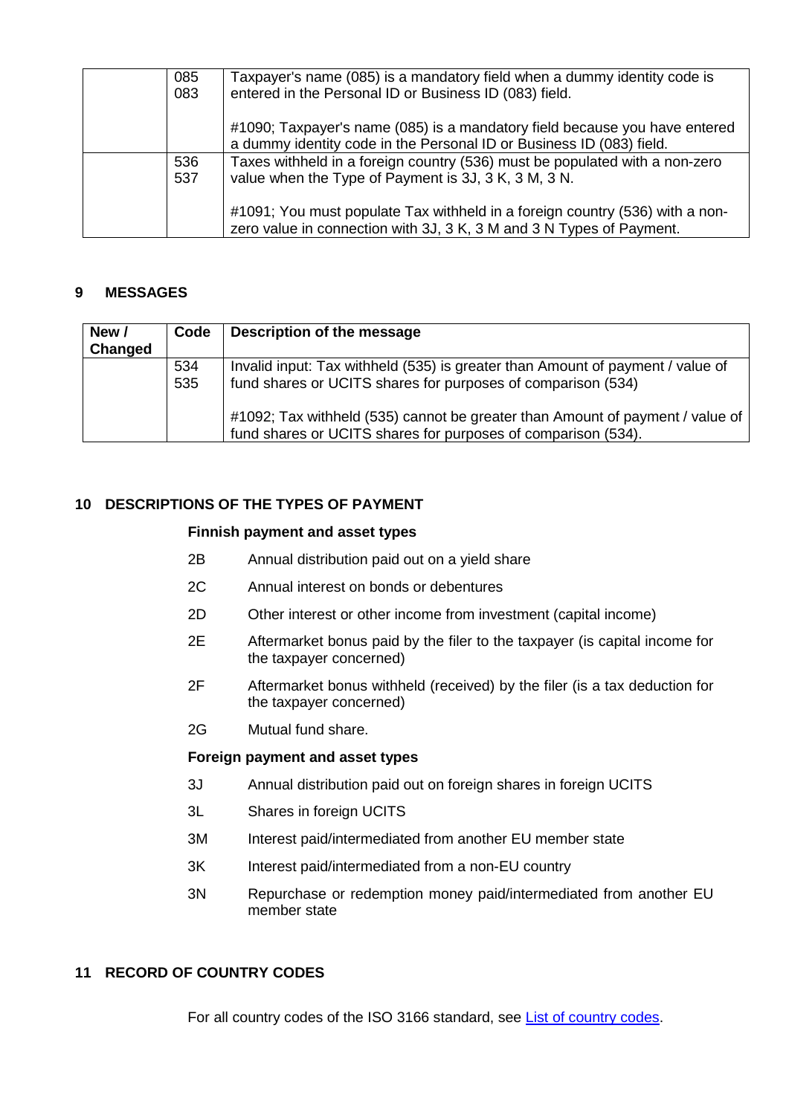| 085<br>083 | Taxpayer's name (085) is a mandatory field when a dummy identity code is<br>entered in the Personal ID or Business ID (083) field.                   |
|------------|------------------------------------------------------------------------------------------------------------------------------------------------------|
|            | #1090; Taxpayer's name (085) is a mandatory field because you have entered<br>a dummy identity code in the Personal ID or Business ID (083) field.   |
| 536        | Taxes withheld in a foreign country (536) must be populated with a non-zero                                                                          |
| 537        | value when the Type of Payment is 3J, 3 K, 3 M, 3 N.                                                                                                 |
|            | #1091; You must populate Tax withheld in a foreign country (536) with a non-<br>zero value in connection with 3J, 3 K, 3 M and 3 N Types of Payment. |

#### <span id="page-4-0"></span>**9 MESSAGES**

| New /<br>Changed | Code       | Description of the message                                                                                                                     |
|------------------|------------|------------------------------------------------------------------------------------------------------------------------------------------------|
|                  | 534<br>535 | Invalid input: Tax withheld (535) is greater than Amount of payment / value of<br>fund shares or UCITS shares for purposes of comparison (534) |
|                  |            | #1092; Tax withheld (535) cannot be greater than Amount of payment / value of<br>fund shares or UCITS shares for purposes of comparison (534). |

#### <span id="page-4-1"></span>**10 DESCRIPTIONS OF THE TYPES OF PAYMENT**

#### **Finnish payment and asset types**

- 2B Annual distribution paid out on a yield share
- 2C Annual interest on bonds or debentures
- 2D Other interest or other income from investment (capital income)
- 2E Aftermarket bonus paid by the filer to the taxpayer (is capital income for the taxpayer concerned)
- 2F Aftermarket bonus withheld (received) by the filer (is a tax deduction for the taxpayer concerned)
- 2G Mutual fund share.

#### **Foreign payment and asset types**

- 3J Annual distribution paid out on foreign shares in foreign UCITS
- 3L Shares in foreign UCITS
- 3M Interest paid/intermediated from another EU member state
- 3K Interest paid/intermediated from a non-EU country
- 3N Repurchase or redemption money paid/intermediated from another EU member state

#### <span id="page-4-2"></span>**11 RECORD OF COUNTRY CODES**

For all country codes of the ISO 3166 standard, see [List of country codes.](https://www.ilmoitin.fi/webtamo/sivut/ExcelPohjat?5-1.ILinkListener-apuvalineet-maatunnuslistaus_linkki&kieli=en)